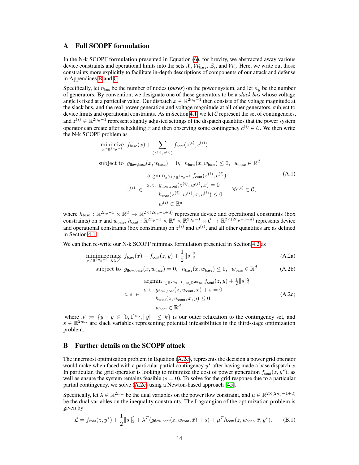## A Full SCOPF formulation

In the N-k SCOPF formulation presented in Equation  $\overline{\phi}$ , for brevity, we abstracted away various device constraints and operational limits into the sets  $\mathcal{X}, \overline{\mathcal{W}}_{base}, \mathcal{Z}_i$ , and  $\mathcal{W}_i$ . Here, we write out those constraints more explicitly to facilitate in-depth descriptions of components of our attack and defense in Appendices  $B$  and  $C$ .

Specifically, let  $n_{bus}$  be the number of nodes (*buses*) on the power system, and let  $n_g$  be the number of generators. By convention, we designate one of these generators to be a *slack bus* whose voltage angle is fixed at a particular value. Our dispatch  $x \in \mathbb{R}^{2n_g-1}$  then consists of the voltage magnitude at the slack bus, and the real power generation and voltage magnitude at all other generators, subject to device limits and operational constraints. As in Section  $\overline{4.1}$ , we let C represent the set of contingencies, and  $z^{(i)} \in \mathbb{R}^{2n_g-1}$  represent slightly adjusted settings of the dispatch quantities that the power system operator can create after scheduling x and then observing some contingency  $c^{(i)} \in \mathcal{C}$ . We then write the N-k SCOPF problem as

<span id="page-0-7"></span><span id="page-0-6"></span><span id="page-0-5"></span>
$$
\begin{aligned}\n\underset{x \in \mathbb{R}^{2n_g - 1}}{\text{minimize}} \ f_{\text{base}}(x) + \sum_{(z^{(i)}, c^{(i)})} f_{\text{cont}}(z^{(i)}, c^{(i)}) \\
\text{subject to} \ g_{\text{flow}, \text{base}}(x, w_{\text{base}}) = 0, \ h_{\text{base}}(x, w_{\text{base}}) \le 0, \ w_{\text{base}} \in \mathbb{R}^d \\
&\text{argmin}_{z^{(i)} \in \mathbb{R}^{2n_g - 1}} f_{\text{cont}}(z^{(i)}, c^{(i)}) \\
&\quad z^{(i)} \in \text{S.t. } g_{\text{flow}, \text{cont}}(z^{(i)}, w^{(i)}, x) = 0 \\
&\quad h_{\text{cont}}(z^{(i)}, w^{(i)}, x, c^{(i)}) \le 0 \\
&\quad w^{(i)} \in \mathbb{R}^d\n\end{aligned} \tag{A.1}
$$

where  $h_{\text{base}} : \mathbb{R}^{2n_g-1} \times \mathbb{R}^d \to \mathbb{R}^{2 \times (2n_g-1+d)}$  represents device and operational constraints (box constraints) on *x* and  $w_{\text{base}}$ ,  $h_{\text{cont}}$ :  $\mathbb{R}^{2n_g-1} \times \mathbb{R}^d \times \mathbb{R}^{2n_g-1} \times \mathcal{C} \to \mathbb{R}^{2 \times (2n_g-1+d)}$  represents device and operational constraints (box constraints) on  $z^{(i)}$  and  $w^{(i)}$ , and all other quantities are as defined in Section [4.1.](#page-0-2)

We can then re-write our N-k SCOPF minimax formulation presented in Section  $\overline{4.2}$  as

minimize 
$$
\max_{x \in \mathbb{R}^{2n_g - 1}} f_{base}(x) + f_{cont}(z, y) + \frac{1}{2} ||s||_2^2
$$
 (A.2a)

subject to 
$$
g_{flow,base}(x, w_{base}) = 0
$$
,  $h_{base}(x, w_{base}) \le 0$ ,  $w_{base} \in \mathbb{R}^d$  (A.2b)

<span id="page-0-4"></span><span id="page-0-0"></span>
$$
\underset{z,s}{\operatorname{argmin}} \underset{\varepsilon \in \mathbb{R}^{2n_g - 1}, s \in \mathbb{R}^{2n_{\text{bus}}}}{\operatorname{argmin}} \underset{z \in \mathbb{R}^{2n_g - 1}}{\operatorname{dist}(z, w_{\text{cont}}, x) + s = 0} f_{\text{cont}}(z, w_{\text{cont}}, x) + s = 0
$$
\n
$$
h_{\text{cont}}(z, w_{\text{cont}}, x, y) \le 0 \tag{A.2c}
$$
\n
$$
w_{\text{cont}} \in \mathbb{R}^d,
$$

<span id="page-0-3"></span><span id="page-0-2"></span>where  $\mathcal{Y} := \{y : y \in [0,1]^{n_o}, \|y\|_1 \leq k\}$  is our outer relaxation to the contingency set, and  $s \in \mathbb{R}^{2n_{\text{bus}}}$  are slack variables representing potential infeasibilities in the third-stage optimization problem.

## <span id="page-0-8"></span><span id="page-0-1"></span>B Further details on the SCOPF attack

<span id="page-0-9"></span>The innermost optimization problem in Equation  $(A.2c)$ , represents the decision a power grid operator would make when faced with a particular partial contingency  $y^*$  after having made a base dispatch  $\bar{x}$ . In particular, the grid operator is looking to minimize the cost of power generation  $f_{\text{cont}}(z, y^*)$ , as well as ensure the system remains feasible  $(s = 0)$ . To solve for the grid response due to a particular partial contingency, we solve  $(A.2c)$  using a Newton-based approach  $[45]$ .

Specifically, let  $\lambda \in \mathbb{R}^{2n_{\text{bus}}}$  be the dual variables on the power flow constraint, and  $\mu \in \mathbb{R}^{2 \times (2n_g - 1 + d)}$ be the dual variables on the inequality constraints. The Lagrangian of the optimization problem is given by

$$
\mathcal{L} = f_{\text{cont}}(z, y^{\star}) + \frac{1}{2} ||s||_2^2 + \lambda^T (g_{\text{flow}, \text{cont}}(z, w_{\text{cont}}, \bar{x}) + s) + \mu^T h_{\text{cont}}(z, w_{\text{cont}}, \bar{x}, y^{\star}).
$$
 (B.1)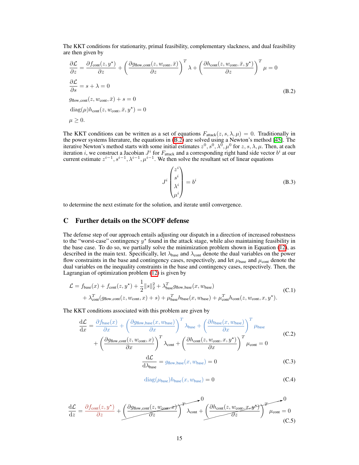The KKT conditions for stationarity, primal feasibility, complementary slackness, and dual feasibility are then given by

<span id="page-1-1"></span>
$$
\frac{\partial \mathcal{L}}{\partial z} = \frac{\partial f_{\text{cont}}(z, y^{\star})}{\partial z} + \left(\frac{\partial g_{\text{flow,cont}}(z, w_{\text{cont}}, \bar{x})}{\partial z}\right)^{T} \lambda + \left(\frac{\partial h_{\text{cont}}(z, w_{\text{cont}}, \bar{x}, y^{\star})}{\partial z}\right)^{T} \mu = 0
$$
\n
$$
\frac{\partial \mathcal{L}}{\partial s} = s + \lambda = 0
$$
\n
$$
g_{\text{flow,cont}}(z, w_{\text{cont}}, \bar{x}) + s = 0
$$
\n
$$
\text{diag}(\mu)h_{\text{cont}}(z, w_{\text{cont}}, \bar{x}, y^{\star}) = 0
$$
\n
$$
\mu \ge 0.
$$
\n(B.2)

The KKT conditions can be written as a set of equations  $F_{\text{attack}}(z, s, \lambda, \mu) = 0$ . Traditionally in the power systems literature, the equations in  $(B.2)$  are solved using a Newton's method  $[45]$ . The iterative Newton's method starts with some initial estimates  $z^0$ ,  $s^0$ ,  $\lambda^0$ ,  $\mu^0$  for *z*, *s*,  $\lambda$ ,  $\mu$ . Then, at each iteration *i*, we construct a Jacobian  $J^i$  for  $F_{\text{attack}}$  and a corresponding right hand side vector  $b^i$  at our current estimate  $z^{i-1}$ ,  $s^{i-1}$ ,  $\lambda^{i-1}$ ,  $\mu^{i-1}$ . We then solve the resultant set of linear equations

$$
J^{i}\begin{pmatrix}z^{i}\\s^{i}\\ \lambda^{i}\\ \mu^{i}\end{pmatrix}=b^{i}
$$
 (B.3)

to determine the next estimate for the solution, and iterate until convergence.

## <span id="page-1-0"></span>C Further details on the SCOPF defense

The defense step of our approach entails adjusting our dispatch in a direction of increased robustness to the "worst-case" contingency  $y^*$  found in the attack stage, while also maintaining feasibility in the base case. To do so, we partially solve the minimization problem shown in Equation  $(12)$ , as described in the main text. Specifically, let  $\lambda_{base}$  and  $\lambda_{cont}$  denote the dual variables on the power flow constraints in the base and contingency cases, respectively, and let  $\mu_{\text{base}}$  and  $\mu_{\text{cont}}$  denote the dual variables on the inequality constraints in the base and contingency cases, respectively. Then, the Lagrangian of optimization problem  $(12)$  is given by

$$
\mathcal{L} = f_{\text{base}}(x) + f_{\text{cont}}(z, y^*) + \frac{1}{2} ||s||_2^2 + \lambda_{\text{base}}^T g_{\text{flow}, \text{base}}(x, w_{\text{base}})
$$
  
+  $\lambda_{\text{cont}}^T (g_{\text{flow}, \text{cont}}(z, w_{\text{cont}}, x) + s) + \mu_{\text{base}}^T h_{\text{base}}(x, w_{\text{base}}) + \mu_{\text{cont}}^T h_{\text{cont}}(z, w_{\text{cont}}, x, y^*)$ . (C.1)

The KKT conditions associated with this problem are given by

$$
\frac{d\mathcal{L}}{dx} = \frac{\partial f_{\text{base}}(x)}{\partial x} + \left(\frac{\partial g_{\text{flow,base}}(x, w_{\text{base}})}{\partial x}\right)^T \lambda_{\text{base}} + \left(\frac{\partial h_{\text{base}}(x, w_{\text{base}})}{\partial x}\right)^T \mu_{\text{base}} + \left(\frac{\partial g_{\text{flow,cont}}(z, w_{\text{cont}}, x)}{\partial x}\right)^T \lambda_{\text{cont}} + \left(\frac{\partial h_{\text{cont}}(z, w_{\text{cont}}, x, y^{\star})}{\partial x}\right)^T \mu_{\text{cont}} = 0
$$
\n(C.2)

$$
\frac{d\mathcal{L}}{d\lambda_{\text{base}}} = g_{\text{flow},\text{base}}(x, w_{\text{base}}) = 0
$$
 (C.3)

$$
diag(\mu_{base})h_{base}(x, w_{base}) = 0
$$
 (C.4)

<span id="page-1-2"></span>
$$
\frac{d\mathcal{L}}{dz} = \frac{\partial f_{\text{cont}}(z, y^{\star})}{\partial z} + \underbrace{\left(\frac{\partial g_{\text{flow,cont}}(z, w_{\text{cont},x^{\star})}}{\partial z}\right)^{T} \lambda_{\text{cont}} + \left(\frac{\partial h_{\text{cont}}(z, w_{\text{cont},x^{\star})^{\star}}}{\partial z}\right)^{T} \mu_{\text{cont}} = 0}_{\text{(C.5)}}
$$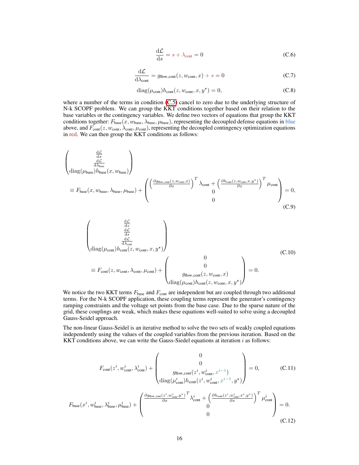$$
\frac{\mathrm{d}\mathcal{L}}{\mathrm{d}s} = s + \lambda_{\mathrm{cont}} = 0\tag{C.6}
$$

$$
\frac{\mathrm{d}\mathcal{L}}{\mathrm{d}\lambda_{\mathrm{cont}}} = g_{\mathrm{flow,cont}}(z, w_{\mathrm{cont}}, x) + s = 0 \tag{C.7}
$$

$$
diag(\mu_{cont})h_{cont}(z, w_{cont}, x, y^*) = 0,
$$
\n(C.8)

where a number of the terms in condition  $(C.5)$  cancel to zero due to the underlying structure of N-k SCOPF problem. We can group the KKT conditions together based on their relation to the base variables or the contingency variables. We define two vectors of equations that group the KKT conditions together:  $F_{base}(x, w_{base}, \lambda_{base}, \mu_{base})$ , representing the decoupled defense equations in blue above, and  $F_{\text{cont}}(z, w_{\text{cont}}, \lambda_{\text{cont}}, \mu_{\text{cont}})$ , representing the decoupled contingency optimization equations in red. We can then group the KKT conditions as follows:

$$
\begin{pmatrix}\n\frac{d\mathcal{L}}{dx} \\
\frac{d\mathcal{L}}{d\lambda_{base}}\n\end{pmatrix}\n\equiv F_{base}(x, w_{base}, \lambda_{base}, \mu_{base}) + \begin{pmatrix}\n\left(\frac{\partial g_{flow,cont}(z, w_{cont}, x)}{\partial x}\right)^T \lambda_{cont} + \left(\frac{\partial h_{cont}(z, w_{cont}, x, y^*)}{\partial x}\right)^T \mu_{cont} \\
0 \\
0\n\end{pmatrix} = 0,
$$
\n(C.9)

$$
\begin{pmatrix}\n\frac{d\mathcal{L}}{dz} \\
\frac{d\mathcal{L}}{d\lambda_{\text{cont}}} \\
\frac{d\mathcal{L}}{d\lambda_{\text{cont}}} \\
\frac{d\mathcal{L}}{d\lambda_{\text{cont}}} \\
\end{pmatrix}
$$
\n( C.10)\n
$$
\equiv F_{\text{cont}}(z, w_{\text{cont}}, \lambda_{\text{cont}}, \mu_{\text{cont}}) + \begin{pmatrix}\n0 \\
0 \\
g_{\text{flow}, \text{cont}}(z, w_{\text{cont}}, x) \\
\frac{d\mathcal{L}}{d\text{lag}(\mu_{\text{cont}})h_{\text{cont}}(z, w_{\text{cont}}, x, y^*)}\n\end{pmatrix} = 0.
$$

We notice the two KKT terms  $F_{\text{base}}$  and  $F_{\text{cont}}$  are independent but are coupled through two additional terms. For the N-k SCOPF application, these coupling terms represent the generator's contingency ramping constraints and the voltage set points from the base case. Due to the sparse nature of the grid, these couplings are weak, which makes these equations well-suited to solve using a decoupled Gauss-Seidel approach.

The non-linear Gauss-Seidel is an iterative method to solve the two sets of weakly coupled equations independently using the values of the coupled variables from the previous iteration. Based on the KKT conditions above, we can write the Gauss-Siedel equations at iteration *i* as follows:

<span id="page-2-1"></span><span id="page-2-0"></span>
$$
F_{\text{cont}}(z^{i}, w_{\text{cont}}^{i}, \lambda_{\text{cont}}^{i}) + \begin{pmatrix} 0 \\ 0 \\ g_{\text{flow}, \text{cont}}(z^{i}, w_{\text{cont}}^{i}, x^{i-1}) \\ \text{diag}(\mu_{\text{cont}}^{i}) h_{\text{cont}}(z^{i}, w_{\text{cont}}^{i}, x^{i-1}, y^{*}) \end{pmatrix} = 0, \qquad (C.11)
$$

$$
F_{\text{base}}(x^{i}, w_{\text{base}}^{i}, \lambda_{\text{base}}^{i}, \mu_{\text{base}}^{i}) + \begin{pmatrix} \frac{\partial g_{\text{flow}, \text{cont}}(z^{i}, w_{\text{cont}}^{i}, y^{*})}{\partial x} \lambda_{\text{cont}}^{i} + \left(\frac{\partial h_{\text{cont}}(z^{i}, w_{\text{cont}}^{i}, x^{i}, y^{*})}{\partial x} \right)^{T} \mu_{\text{cont}}^{i} \\ 0 \end{pmatrix} = 0.
$$
(C.12)